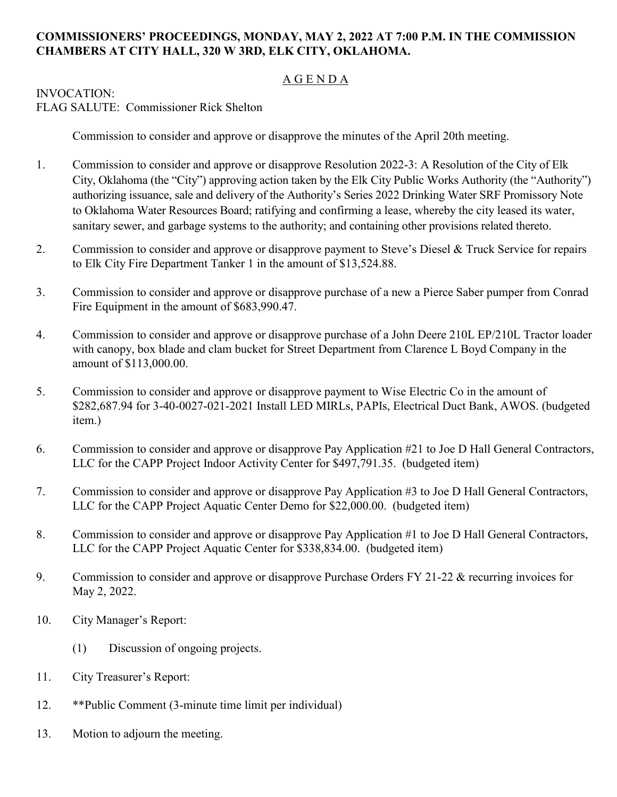## **COMMISSIONERS' PROCEEDINGS, MONDAY, MAY 2, 2022 AT 7:00 P.M. IN THE COMMISSION CHAMBERS AT CITY HALL, 320 W 3RD, ELK CITY, OKLAHOMA.**

## A G E N D A

## INVOCATION:

FLAG SALUTE: Commissioner Rick Shelton

Commission to consider and approve or disapprove the minutes of the April 20th meeting.

- 1. Commission to consider and approve or disapprove Resolution 2022-3: A Resolution of the City of Elk City, Oklahoma (the "City") approving action taken by the Elk City Public Works Authority (the "Authority") authorizing issuance, sale and delivery of the Authority's Series 2022 Drinking Water SRF Promissory Note to Oklahoma Water Resources Board; ratifying and confirming a lease, whereby the city leased its water, sanitary sewer, and garbage systems to the authority; and containing other provisions related thereto.
- 2. Commission to consider and approve or disapprove payment to Steve's Diesel & Truck Service for repairs to Elk City Fire Department Tanker 1 in the amount of \$13,524.88.
- 3. Commission to consider and approve or disapprove purchase of a new a Pierce Saber pumper from Conrad Fire Equipment in the amount of \$683,990.47.
- 4. Commission to consider and approve or disapprove purchase of a John Deere 210L EP/210L Tractor loader with canopy, box blade and clam bucket for Street Department from Clarence L Boyd Company in the amount of \$113,000.00.
- 5. Commission to consider and approve or disapprove payment to Wise Electric Co in the amount of \$282,687.94 for 3-40-0027-021-2021 Install LED MIRLs, PAPIs, Electrical Duct Bank, AWOS. (budgeted item.)
- 6. Commission to consider and approve or disapprove Pay Application #21 to Joe D Hall General Contractors, LLC for the CAPP Project Indoor Activity Center for \$497,791.35. (budgeted item)
- 7. Commission to consider and approve or disapprove Pay Application #3 to Joe D Hall General Contractors, LLC for the CAPP Project Aquatic Center Demo for \$22,000.00. (budgeted item)
- 8. Commission to consider and approve or disapprove Pay Application #1 to Joe D Hall General Contractors, LLC for the CAPP Project Aquatic Center for \$338,834.00. (budgeted item)
- 9. Commission to consider and approve or disapprove Purchase Orders FY 21-22 & recurring invoices for May 2, 2022.
- 10. City Manager's Report:
	- (1) Discussion of ongoing projects.
- 11. City Treasurer's Report:
- 12. \*\*Public Comment (3-minute time limit per individual)
- 13. Motion to adjourn the meeting.